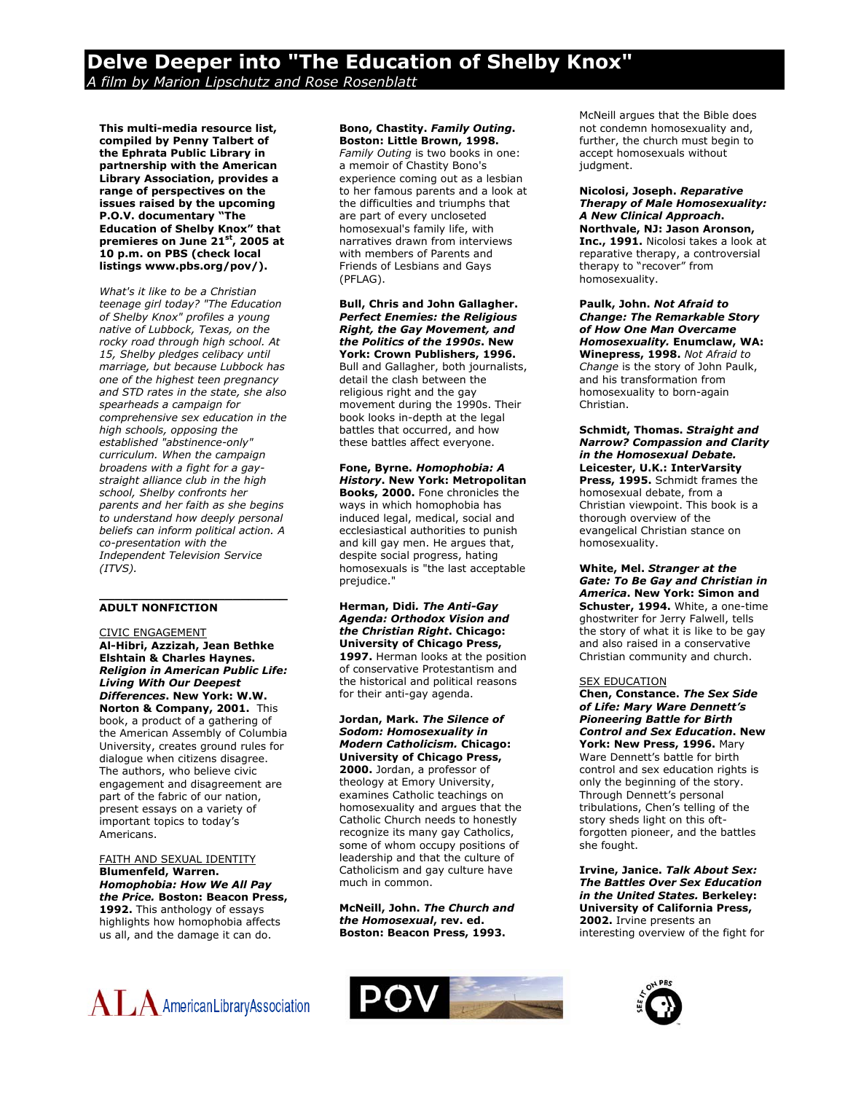# **Delve Deeper into "The Education of Shelby Knox"**  *A film by Marion Lipschutz and Rose Rosenblatt*

**This multi-media resource list, compiled by Penny Talbert of the Ephrata Public Library in partnership with the American Library Association, provides a range of perspectives on the issues raised by the upcoming P.O.V. documentary "The Education of Shelby Knox" that premieres on June 21st, 2005 at 10 p.m. on PBS (check local listings www.pbs.org/pov/).** 

*What's it like to be a Christian teenage girl today? "The Education of Shelby Knox" profiles a young native of Lubbock, Texas, on the rocky road through high school. At 15, Shelby pledges celibacy until marriage, but because Lubbock has one of the highest teen pregnancy and STD rates in the state, she also spearheads a campaign for comprehensive sex education in the high schools, opposing the established "abstinence-only" curriculum. When the campaign broadens with a fight for a gaystraight alliance club in the high school, Shelby confronts her parents and her faith as she begins to understand how deeply personal beliefs can inform political action. A co-presentation with the Independent Television Service (ITVS).*

# **ADULT NONFICTION**

CIVIC ENGAGEMENT **Al-Hibri, Azzizah, Jean Bethke Elshtain & Charles Haynes.**  *Religion in American Public Life: Living With Our Deepest Differences***. New York: W.W. Norton & Company, 2001.** This book, a product of a gathering of the American Assembly of Columbia University, creates ground rules for dialogue when citizens disagree. The authors, who believe civic engagement and disagreement are part of the fabric of our nation, present essays on a variety of important topics to today's Americans.

**\_\_\_\_\_\_\_\_\_\_\_\_\_\_\_\_\_\_\_\_\_\_\_\_** 

FAITH AND SEXUAL IDENTITY **Blumenfeld, Warren.**  *Homophobia: How We All Pay the Price.* **Boston: Beacon Press, 1992.** This anthology of essays highlights how homophobia affects us all, and the damage it can do.



#### **Bono, Chastity.** *Family Outing***. Boston: Little Brown, 1998.**

*Family Outing* is two books in one: a memoir of Chastity Bono's experience coming out as a lesbian to her famous parents and a look at the difficulties and triumphs that are part of every uncloseted homosexual's family life, with narratives drawn from interviews with members of Parents and Friends of Lesbians and Gays (PFLAG).

**Bull, Chris and John Gallagher.**  *Perfect Enemies: the Religious Right, the Gay Movement, and the Politics of the 1990s***. New York: Crown Publishers, 1996.**  Bull and Gallagher, both journalists, detail the clash between the religious right and the gay movement during the 1990s. Their book looks in-depth at the legal battles that occurred, and how these battles affect everyone.

**Fone, Byrne.** *Homophobia: A History***. New York: Metropolitan Books, 2000.** Fone chronicles the ways in which homophobia has induced legal, medical, social and ecclesiastical authorities to punish and kill gay men. He argues that, despite social progress, hating homosexuals is "the last acceptable prejudice."

**Herman, Didi***. The Anti-Gay Agenda: Orthodox Vision and the Christian Right***. Chicago: University of Chicago Press,**  1997. Herman looks at the position of conservative Protestantism and the historical and political reasons for their anti-gay agenda.

#### **Jordan, Mark.** *The Silence of Sodom: Homosexuality in Modern Catholicism.* **Chicago: University of Chicago Press,**

**2000.** Jordan, a professor of theology at Emory University, examines Catholic teachings on homosexuality and argues that the Catholic Church needs to honestly recognize its many gay Catholics, some of whom occupy positions of leadership and that the culture of Catholicism and gay culture have much in common.

**McNeill, John.** *The Church and the Homosexual***, rev. ed. Boston: Beacon Press, 1993.**

McNeill argues that the Bible does not condemn homosexuality and, further, the church must begin to accept homosexuals without judgment.

**Nicolosi, Joseph.** *Reparative Therapy of Male Homosexuality: A New Clinical Approach***. Northvale, NJ: Jason Aronson, Inc., 1991.** Nicolosi takes a look at reparative therapy, a controversial therapy to "recover" from homosexuality.

**Paulk, John.** *Not Afraid to Change: The Remarkable Story of How One Man Overcame Homosexuality.* **Enumclaw, WA: Winepress, 1998.** *Not Afraid to Change* is the story of John Paulk, and his transformation from homosexuality to born-again Christian.

**Schmidt, Thomas.** *Straight and Narrow? Compassion and Clarity in the Homosexual Debate.* **Leicester, U.K.: InterVarsity Press, 1995.** Schmidt frames the homosexual debate, from a Christian viewpoint. This book is a thorough overview of the evangelical Christian stance on homosexuality.

**White, Mel.** *Stranger at the Gate: To Be Gay and Christian in America***. New York: Simon and Schuster, 1994.** White, a one-time ghostwriter for Jerry Falwell, tells the story of what it is like to be gay and also raised in a conservative Christian community and church.

#### SEX EDUCATION

**Chen, Constance.** *The Sex Side of Life: Mary Ware Dennett's Pioneering Battle for Birth Control and Sex Education***. New**  York: New Press, 1996. Mary Ware Dennett's battle for birth control and sex education rights is only the beginning of the story. Through Dennett's personal tribulations, Chen's telling of the story sheds light on this oftforgotten pioneer, and the battles she fought.

**Irvine, Janice.** *Talk About Sex: The Battles Over Sex Education in the United States.* **Berkeley: University of California Press, 2002.** Irvine presents an interesting overview of the fight for



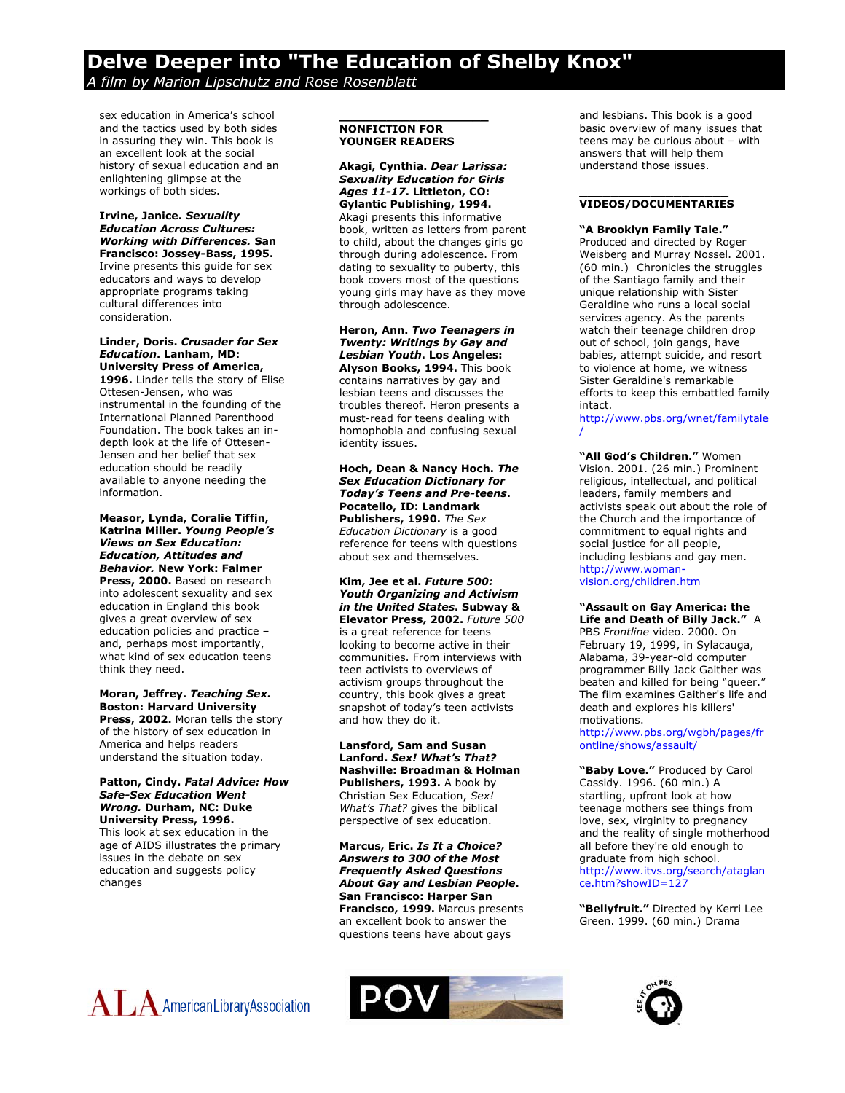# **Delve Deeper into "The Education of Shelby Knox"**  *A film by Marion Lipschutz and Rose Rosenblatt*

sex education in America's school and the tactics used by both sides in assuring they win. This book is an excellent look at the social history of sexual education and an enlightening glimpse at the workings of both sides.

# **Irvine, Janice.** *Sexuality Education Across Cultures: Working with Differences.* **San Francisco: Jossey-Bass, 1995.**  Irvine presents this guide for sex

educators and ways to develop appropriate programs taking cultural differences into consideration.

#### **Linder, Doris.** *Crusader for Sex Education***. Lanham, MD: University Press of America,**

**1996.** Linder tells the story of Elise Ottesen-Jensen, who was instrumental in the founding of the International Planned Parenthood Foundation. The book takes an indepth look at the life of Ottesen-Jensen and her belief that sex education should be readily available to anyone needing the information.

**Measor, Lynda, Coralie Tiffin, Katrina Miller.** *Young People's Views on Sex Education: Education, Attitudes and Behavior.* **New York: Falmer Press, 2000.** Based on research into adolescent sexuality and sex education in England this book gives a great overview of sex education policies and practice – and, perhaps most importantly, what kind of sex education teens think they need.

**Moran, Jeffrey.** *Teaching Sex.*  **Boston: Harvard University** Press, 2002. Moran tells the story of the history of sex education in America and helps readers understand the situation today.

#### **Patton, Cindy.** *Fatal Advice: How Safe-Sex Education Went Wrong.* **Durham, NC: Duke University Press, 1996.**  This look at sex education in the age of AIDS illustrates the primary

issues in the debate on sex education and suggests policy changes

## **\_\_\_\_\_\_\_\_\_\_\_\_\_\_\_\_\_\_\_ NONFICTION FOR YOUNGER READERS**

**Akagi, Cynthia.** *Dear Larissa: Sexuality Education for Girls Ages 11-17***. Littleton, CO: Gylantic Publishing, 1994.**  Akagi presents this informative book, written as letters from parent to child, about the changes girls go through during adolescence. From dating to sexuality to puberty, this book covers most of the questions young girls may have as they move through adolescence.

**Heron, Ann.** *Two Teenagers in Twenty: Writings by Gay and Lesbian Youth***. Los Angeles: Alyson Books, 1994.** This book contains narratives by gay and lesbian teens and discusses the troubles thereof. Heron presents a must-read for teens dealing with homophobia and confusing sexual identity issues.

**Hoch, Dean & Nancy Hoch.** *The Sex Education Dictionary for Today's Teens and Pre-teens***. Pocatello, ID: Landmark Publishers, 1990.** *The Sex Education Dictionary* is a good reference for teens with questions about sex and themselves.

**Kim, Jee et al.** *Future 500: Youth Organizing and Activism in the United States***. Subway & Elevator Press, 2002.** *Future 500* is a great reference for teens looking to become active in their communities. From interviews with teen activists to overviews of activism groups throughout the country, this book gives a great snapshot of today's teen activists and how they do it.

#### **Lansford, Sam and Susan Lanford.** *Sex! What's That?*  **Nashville: Broadman & Holman Publishers, 1993.** A book by Christian Sex Education, *Sex! What's That?* gives the biblical perspective of sex education.

**Marcus, Eric.** *Is It a Choice? Answers to 300 of the Most Frequently Asked Questions About Gay and Lesbian People***. San Francisco: Harper San Francisco, 1999.** Marcus presents an excellent book to answer the questions teens have about gays

and lesbians. This book is a good basic overview of many issues that teens may be curious about – with answers that will help them understand those issues.

#### **\_\_\_\_\_\_\_\_\_\_\_\_\_\_\_\_\_\_\_ VIDEOS/DOCUMENTARIES**

**"A Brooklyn Family Tale."**

Produced and directed by Roger Weisberg and Murray Nossel. 2001. (60 min.) Chronicles the struggles of the Santiago family and their unique relationship with Sister Geraldine who runs a local social services agency. As the parents watch their teenage children drop out of school, join gangs, have babies, attempt suicide, and resort to violence at home, we witness Sister Geraldine's remarkable efforts to keep this embattled family intact.

[http://www.pbs.org/wnet/familytale](http://www.pbs.org/wnet/familytale/) [/](http://www.pbs.org/wnet/familytale/)

**"All God's Children."** Women Vision. 2001. (26 min.) Prominent religious, intellectual, and political leaders, family members and activists speak out about the role of the Church and the importance of commitment to equal rights and social justice for all people, including lesbians and gay men. [http://www.woman](http://www.woman-vision.org/children.htm)[vision.org/children.htm](http://www.woman-vision.org/children.htm)

**"Assault on Gay America: the Life and Death of Billy Jack."** A PBS *Frontline* video. 2000. On February 19, 1999, in Sylacauga, Alabama, 39-year-old computer programmer Billy Jack Gaither was beaten and killed for being "queer." The film examines Gaither's life and death and explores his killers'

[http://www.pbs.org/wgbh/pages/fr](http://www.pbs.org/wgbh/pages/frontline/shows/assault/) [ontline/shows/assault/](http://www.pbs.org/wgbh/pages/frontline/shows/assault/) 

motivations.

**"Baby Love."** Produced by Carol Cassidy. 1996. (60 min.) A startling, upfront look at how teenage mothers see things from love, sex, virginity to pregnancy and the reality of single motherhood all before they're old enough to graduate from high school. [http://www.itvs.org/search/ataglan](http://www.itvs.org/search/ataglance.htm?showID=127) [ce.htm?showID=127](http://www.itvs.org/search/ataglance.htm?showID=127)

**"Bellyfruit."** Directed by Kerri Lee Green. 1999. (60 min.) Drama





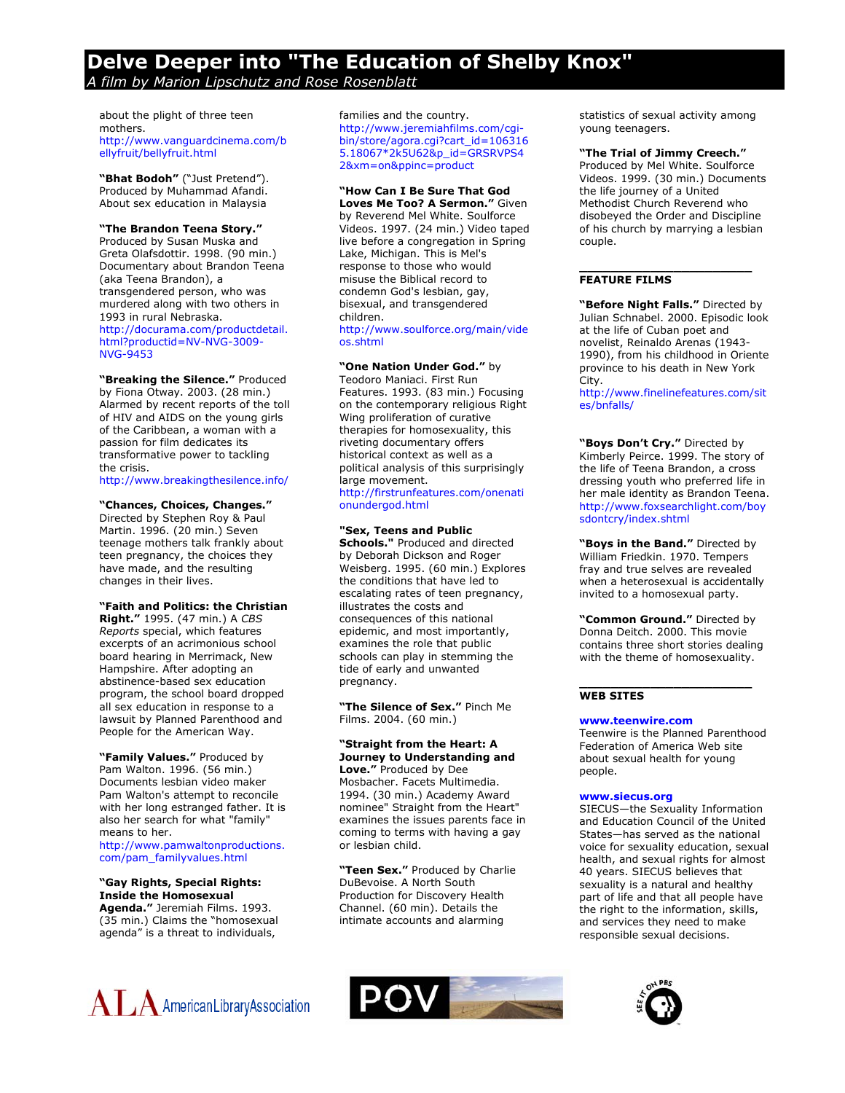# **Delve Deeper into "The Education of Shelby Knox"**  *A film by Marion Lipschutz and Rose Rosenblatt*

about the plight of three teen mothers. [http://www.vanguardcinema.com/b](http://www.vanguardcinema.com/bellyfruit/bellyfruit.html) [ellyfruit/bellyfruit.html](http://www.vanguardcinema.com/bellyfruit/bellyfruit.html)

**"Bhat Bodoh"** ("Just Pretend"). Produced by Muhammad Afandi. About sex education in Malaysia

#### **"The Brandon Teena Story."**

Produced by Susan Muska and Greta Olafsdottir. 1998. (90 min.) Documentary about Brandon Teena (aka Teena Brandon), a transgendered person, who was murdered along with two others in 1993 in rural Nebraska. [http://docurama.com/productdetail.](http://docurama.com/productdetail.html?productid=NV-NVG-3009-NVG-9453) [html?productid=NV-NVG-3009-](http://docurama.com/productdetail.html?productid=NV-NVG-3009-NVG-9453) [NVG-9453](http://docurama.com/productdetail.html?productid=NV-NVG-3009-NVG-9453) 

# **"Breaking the Silence."** Produced

by Fiona Otway. 2003. (28 min.) Alarmed by recent reports of the toll of HIV and AIDS on the young girls of the Caribbean, a woman with a passion for film dedicates its transformative power to tackling the crisis.

<http://www.breakingthesilence.info/>

#### **"Chances, Choices, Changes."**

Directed by Stephen Roy & Paul Martin. 1996. (20 min.) Seven teenage mothers talk frankly about teen pregnancy, the choices they have made, and the resulting changes in their lives.

# **"Faith and Politics: the Christian**

**Right."** 1995. (47 min.) A *CBS Reports* special, which features excerpts of an acrimonious school board hearing in Merrimack, New Hampshire. After adopting an abstinence-based sex education program, the school board dropped all sex education in response to a lawsuit by Planned Parenthood and People for the American Way.

**"Family Values."** Produced by Pam Walton. 1996. (56 min.) Documents lesbian video maker Pam Walton's attempt to reconcile with her long estranged father. It is also her search for what "family" means to her. [http://www.pamwaltonproductions.](http://www.pamwaltonproductions.com/pam_familyvalues.html)

[com/pam\\_familyvalues.html](http://www.pamwaltonproductions.com/pam_familyvalues.html)

#### **"Gay Rights, Special Rights: Inside the Homosexual Agenda."** Jeremiah Films. 1993.

(35 min.) Claims the "homosexual agenda" is a threat to individuals,

families and the country. [http://www.jeremiahfilms.com/cgi](http://www.jeremiahfilms.com/cgi-bin/store/agora.cgi?cart_id=1063165.18067*2k5U62&p_id=GRSRVPS42&xm=on&ppinc=product)[bin/store/agora.cgi?cart\\_id=106316](http://www.jeremiahfilms.com/cgi-bin/store/agora.cgi?cart_id=1063165.18067*2k5U62&p_id=GRSRVPS42&xm=on&ppinc=product) [5.18067\\*2k5U62&p\\_id=GRSRVPS4](http://www.jeremiahfilms.com/cgi-bin/store/agora.cgi?cart_id=1063165.18067*2k5U62&p_id=GRSRVPS42&xm=on&ppinc=product) [2&xm=on&ppinc=product](http://www.jeremiahfilms.com/cgi-bin/store/agora.cgi?cart_id=1063165.18067*2k5U62&p_id=GRSRVPS42&xm=on&ppinc=product) 

# **"How Can I Be Sure That God**

**Loves Me Too? A Sermon."** Given by Reverend Mel White. Soulforce Videos. 1997. (24 min.) Video taped live before a congregation in Spring Lake, Michigan. This is Mel's response to those who would misuse the Biblical record to condemn God's lesbian, gay, bisexual, and transgendered children.

[http://www.soulforce.org/main/vide](http://www.soulforce.org/main/videos.shtml) [os.shtml](http://www.soulforce.org/main/videos.shtml)

#### **"One Nation Under God."** by

Teodoro Maniaci. First Run Features. 1993. (83 min.) Focusing on the contemporary religious Right Wing proliferation of curative therapies for homosexuality, this riveting documentary offers historical context as well as a political analysis of this surprisingly large movement. [http://firstrunfeatures.com/onenati](http://firstrunfeatures.com/onenationundergod.html)

[onundergod.html](http://firstrunfeatures.com/onenationundergod.html) 

**"Sex, Teens and Public Schools."** Produced and directed by Deborah Dickson and Roger Weisberg. 1995. (60 min.) Explores the conditions that have led to escalating rates of teen pregnancy, illustrates the costs and consequences of this national epidemic, and most importantly, examines the role that public schools can play in stemming the tide of early and unwanted pregnancy.

**"The Silence of Sex."** Pinch Me Films. 2004. (60 min.)

# **"Straight from the Heart: A Journey to Understanding and**

**Love."** Produced by Dee Mosbacher. Facets Multimedia. 1994. (30 min.) Academy Award nominee" Straight from the Heart" examines the issues parents face in coming to terms with having a gay or lesbian child.

**"Teen Sex."** Produced by Charlie DuBevoise. A North South Production for Discovery Health Channel. (60 min). Details the intimate accounts and alarming

statistics of sexual activity among young teenagers.

#### **"The Trial of Jimmy Creech."**

Produced by Mel White. Soulforce Videos. 1999. (30 min.) Documents the life journey of a United Methodist Church Reverend who disobeyed the Order and Discipline of his church by marrying a lesbian couple.

**\_\_\_\_\_\_\_\_\_\_\_\_\_\_\_\_\_\_\_\_\_\_** 

# **FEATURE FILMS**

**"Before Night Falls."** Directed by Julian Schnabel. 2000. Episodic look at the life of Cuban poet and novelist, Reinaldo Arenas (1943- 1990), from his childhood in Oriente province to his death in New York City.

[http://www.finelinefeatures.com/sit](http://www.finelinefeatures.com/sites/bnfalls/) [es/bnfalls/](http://www.finelinefeatures.com/sites/bnfalls/)

**"Boys Don't Cry."** Directed by Kimberly Peirce. 1999. The story of the life of Teena Brandon, a cross dressing youth who preferred life in her male identity as Brandon Teena. [http://www.foxsearchlight.com/boy](http://www.foxsearchlight.com/boysdontcry/index.shtml) [sdontcry/index.shtml](http://www.foxsearchlight.com/boysdontcry/index.shtml)

**"Boys in the Band."** Directed by William Friedkin. 1970. Tempers fray and true selves are revealed when a heterosexual is accidentally invited to a homosexual party.

**"Common Ground."** Directed by Donna Deitch. 2000. This movie contains three short stories dealing with the theme of homosexuality.

**\_\_\_\_\_\_\_\_\_\_\_\_\_\_\_\_\_\_\_\_\_\_** 

#### **WEB SITES**

## **[www.teenwire.com](http://www.teenwire.com/)**

Teenwire is the Planned Parenthood Federation of America Web site about sexual health for young people.

#### **[www.siecus.org](http://www.siecus.org/)**

SIECUS—the Sexuality Information and Education Council of the United States—has served as the national voice for sexuality education, sexual health, and sexual rights for almost 40 years. SIECUS believes that sexuality is a natural and healthy part of life and that all people have the right to the information, skills, and services they need to make responsible sexual decisions.